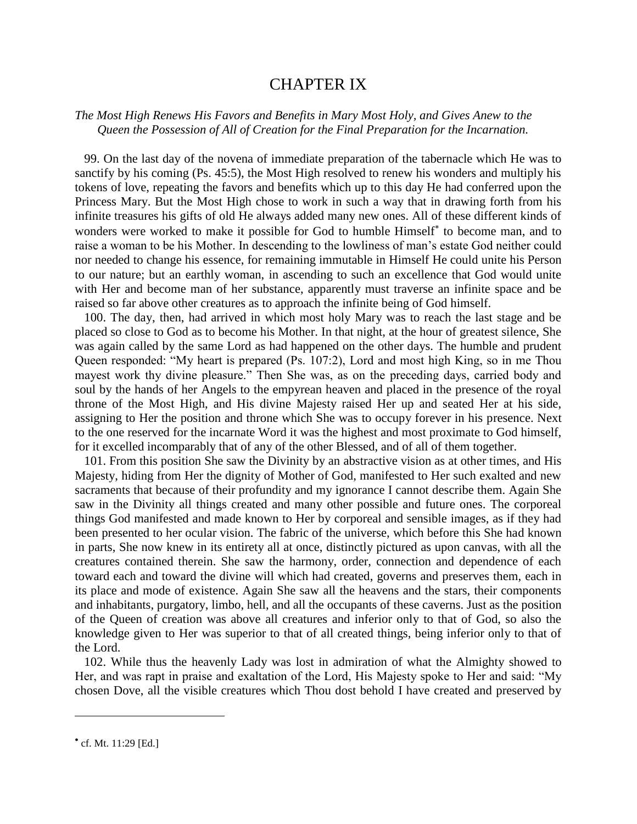## CHAPTER IX

## *The Most High Renews His Favors and Benefits in Mary Most Holy, and Gives Anew to the Queen the Possession of All of Creation for the Final Preparation for the Incarnation.*

 99. On the last day of the novena of immediate preparation of the tabernacle which He was to sanctify by his coming (Ps. 45:5), the Most High resolved to renew his wonders and multiply his tokens of love, repeating the favors and benefits which up to this day He had conferred upon the Princess Mary. But the Most High chose to work in such a way that in drawing forth from his infinite treasures his gifts of old He always added many new ones. All of these different kinds of wonders were worked to make it possible for God to humble Himself<sup>\*</sup> to become man, and to raise a woman to be his Mother. In descending to the lowliness of man's estate God neither could nor needed to change his essence, for remaining immutable in Himself He could unite his Person to our nature; but an earthly woman, in ascending to such an excellence that God would unite with Her and become man of her substance, apparently must traverse an infinite space and be raised so far above other creatures as to approach the infinite being of God himself.

 100. The day, then, had arrived in which most holy Mary was to reach the last stage and be placed so close to God as to become his Mother. In that night, at the hour of greatest silence, She was again called by the same Lord as had happened on the other days. The humble and prudent Queen responded: "My heart is prepared (Ps. 107:2), Lord and most high King, so in me Thou mayest work thy divine pleasure." Then She was, as on the preceding days, carried body and soul by the hands of her Angels to the empyrean heaven and placed in the presence of the royal throne of the Most High, and His divine Majesty raised Her up and seated Her at his side, assigning to Her the position and throne which She was to occupy forever in his presence. Next to the one reserved for the incarnate Word it was the highest and most proximate to God himself, for it excelled incomparably that of any of the other Blessed, and of all of them together.

 101. From this position She saw the Divinity by an abstractive vision as at other times, and His Majesty, hiding from Her the dignity of Mother of God, manifested to Her such exalted and new sacraments that because of their profundity and my ignorance I cannot describe them. Again She saw in the Divinity all things created and many other possible and future ones. The corporeal things God manifested and made known to Her by corporeal and sensible images, as if they had been presented to her ocular vision. The fabric of the universe, which before this She had known in parts, She now knew in its entirety all at once, distinctly pictured as upon canvas, with all the creatures contained therein. She saw the harmony, order, connection and dependence of each toward each and toward the divine will which had created, governs and preserves them, each in its place and mode of existence. Again She saw all the heavens and the stars, their components and inhabitants, purgatory, limbo, hell, and all the occupants of these caverns. Just as the position of the Queen of creation was above all creatures and inferior only to that of God, so also the knowledge given to Her was superior to that of all created things, being inferior only to that of the Lord.

 102. While thus the heavenly Lady was lost in admiration of what the Almighty showed to Her, and was rapt in praise and exaltation of the Lord, His Majesty spoke to Her and said: "My chosen Dove, all the visible creatures which Thou dost behold I have created and preserved by

 $\overline{a}$ 

cf. Mt. 11:29 [Ed.]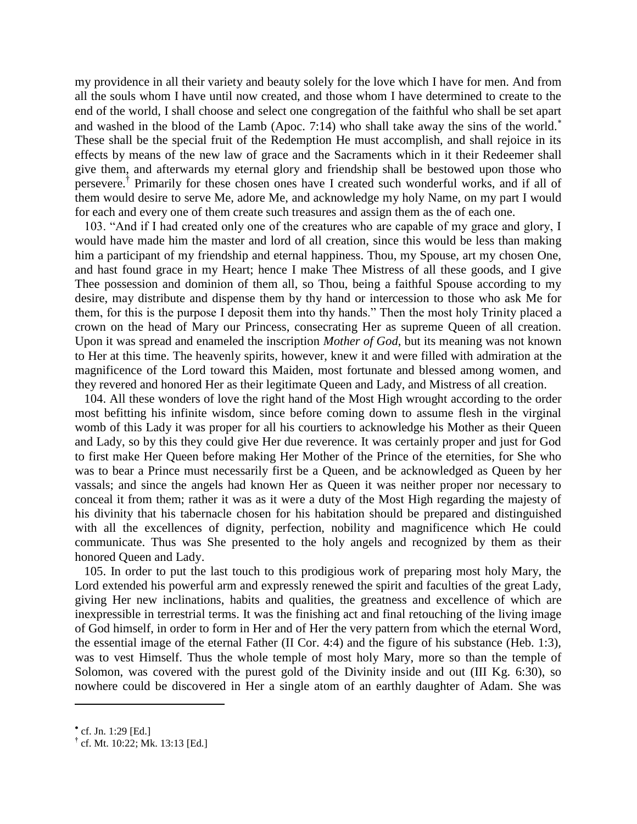my providence in all their variety and beauty solely for the love which I have for men. And from all the souls whom I have until now created, and those whom I have determined to create to the end of the world, I shall choose and select one congregation of the faithful who shall be set apart and washed in the blood of the Lamb (Apoc. 7:14) who shall take away the sins of the world. These shall be the special fruit of the Redemption He must accomplish, and shall rejoice in its effects by means of the new law of grace and the Sacraments which in it their Redeemer shall give them, and afterwards my eternal glory and friendship shall be bestowed upon those who persevere.<sup>†</sup> Primarily for these chosen ones have I created such wonderful works, and if all of them would desire to serve Me, adore Me, and acknowledge my holy Name, on my part I would for each and every one of them create such treasures and assign them as the of each one.

 103. "And if I had created only one of the creatures who are capable of my grace and glory, I would have made him the master and lord of all creation, since this would be less than making him a participant of my friendship and eternal happiness. Thou, my Spouse, art my chosen One, and hast found grace in my Heart; hence I make Thee Mistress of all these goods, and I give Thee possession and dominion of them all, so Thou, being a faithful Spouse according to my desire, may distribute and dispense them by thy hand or intercession to those who ask Me for them, for this is the purpose I deposit them into thy hands." Then the most holy Trinity placed a crown on the head of Mary our Princess, consecrating Her as supreme Queen of all creation. Upon it was spread and enameled the inscription *Mother of God*, but its meaning was not known to Her at this time. The heavenly spirits, however, knew it and were filled with admiration at the magnificence of the Lord toward this Maiden, most fortunate and blessed among women, and they revered and honored Her as their legitimate Queen and Lady, and Mistress of all creation.

 104. All these wonders of love the right hand of the Most High wrought according to the order most befitting his infinite wisdom, since before coming down to assume flesh in the virginal womb of this Lady it was proper for all his courtiers to acknowledge his Mother as their Queen and Lady, so by this they could give Her due reverence. It was certainly proper and just for God to first make Her Queen before making Her Mother of the Prince of the eternities, for She who was to bear a Prince must necessarily first be a Queen, and be acknowledged as Queen by her vassals; and since the angels had known Her as Queen it was neither proper nor necessary to conceal it from them; rather it was as it were a duty of the Most High regarding the majesty of his divinity that his tabernacle chosen for his habitation should be prepared and distinguished with all the excellences of dignity, perfection, nobility and magnificence which He could communicate. Thus was She presented to the holy angels and recognized by them as their honored Queen and Lady.

 105. In order to put the last touch to this prodigious work of preparing most holy Mary, the Lord extended his powerful arm and expressly renewed the spirit and faculties of the great Lady, giving Her new inclinations, habits and qualities, the greatness and excellence of which are inexpressible in terrestrial terms. It was the finishing act and final retouching of the living image of God himself, in order to form in Her and of Her the very pattern from which the eternal Word, the essential image of the eternal Father (II Cor. 4:4) and the figure of his substance (Heb. 1:3), was to vest Himself. Thus the whole temple of most holy Mary, more so than the temple of Solomon, was covered with the purest gold of the Divinity inside and out (III Kg. 6:30), so nowhere could be discovered in Her a single atom of an earthly daughter of Adam. She was

 $\overline{\phantom{a}}$ 

cf. Jn. 1:29 [Ed.]

**<sup>†</sup>** cf. Mt. 10:22; Mk. 13:13 [Ed.]